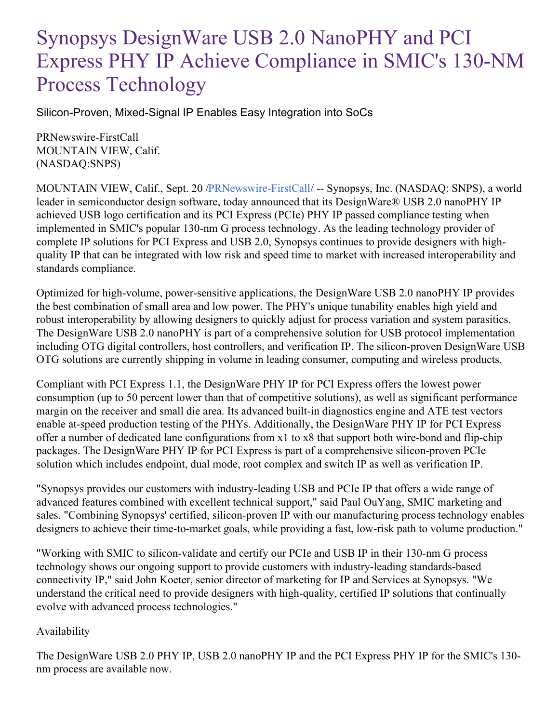## Synopsys DesignWare USB 2.0 NanoPHY and PCI Express PHY IP Achieve Compliance in SMIC's 130-NM Process Technology

Silicon-Proven, Mixed-Signal IP Enables Easy Integration into SoCs

PRNewswire-FirstCall MOUNTAIN VIEW, Calif. (NASDAQ:SNPS)

MOUNTAIN VIEW, Calif., Sept. 20 [/PRNewswire-FirstCall](http://www.prnewswire.com/)/ -- Synopsys, Inc. (NASDAQ: SNPS), a world leader in semiconductor design software, today announced that its DesignWare® USB 2.0 nanoPHY IP achieved USB logo certification and its PCI Express (PCIe) PHY IP passed compliance testing when implemented in SMIC's popular 130-nm G process technology. As the leading technology provider of complete IP solutions for PCI Express and USB 2.0, Synopsys continues to provide designers with highquality IP that can be integrated with low risk and speed time to market with increased interoperability and standards compliance.

Optimized for high-volume, power-sensitive applications, the DesignWare USB 2.0 nanoPHY IP provides the best combination of small area and low power. The PHY's unique tunability enables high yield and robust interoperability by allowing designers to quickly adjust for process variation and system parasitics. The DesignWare USB 2.0 nanoPHY is part of a comprehensive solution for USB protocol implementation including OTG digital controllers, host controllers, and verification IP. The silicon-proven DesignWare USB OTG solutions are currently shipping in volume in leading consumer, computing and wireless products.

Compliant with PCI Express 1.1, the DesignWare PHY IP for PCI Express offers the lowest power consumption (up to 50 percent lower than that of competitive solutions), as well as significant performance margin on the receiver and small die area. Its advanced built-in diagnostics engine and ATE test vectors enable at-speed production testing of the PHYs. Additionally, the DesignWare PHY IP for PCI Express offer a number of dedicated lane configurations from x1 to x8 that support both wire-bond and flip-chip packages. The DesignWare PHY IP for PCI Express is part of a comprehensive silicon-proven PCIe solution which includes endpoint, dual mode, root complex and switch IP as well as verification IP.

"Synopsys provides our customers with industry-leading USB and PCIe IP that offers a wide range of advanced features combined with excellent technical support," said Paul OuYang, SMIC marketing and sales. "Combining Synopsys' certified, silicon-proven IP with our manufacturing process technology enables designers to achieve their time-to-market goals, while providing a fast, low-risk path to volume production."

"Working with SMIC to silicon-validate and certify our PCIe and USB IP in their 130-nm G process technology shows our ongoing support to provide customers with industry-leading standards-based connectivity IP," said John Koeter, senior director of marketing for IP and Services at Synopsys. "We understand the critical need to provide designers with high-quality, certified IP solutions that continually evolve with advanced process technologies."

## Availability

The DesignWare USB 2.0 PHY IP, USB 2.0 nanoPHY IP and the PCI Express PHY IP for the SMIC's 130 nm process are available now.